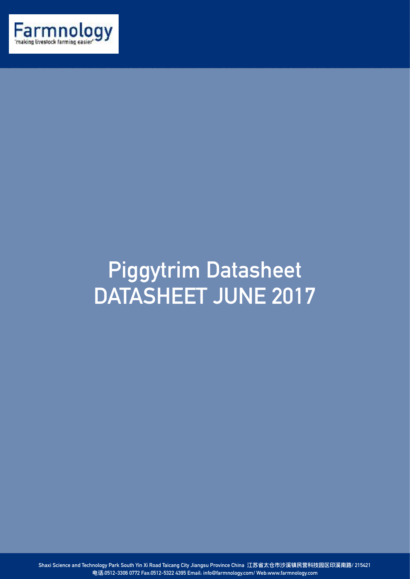

## **Piggytrim Datasheet DATASHEET JUNE 2017**

**Shaxi Science and Technology Park South Yin Xi Road Taicang City Jiangsu Province China 江苏省太仓市沙溪镇⺠营科技园区印溪南路/ 215421 电话:0512-3306 0772 Fax:0512-5322 4395 Email: info@farmnology.com/ Web:www.farmnology.com**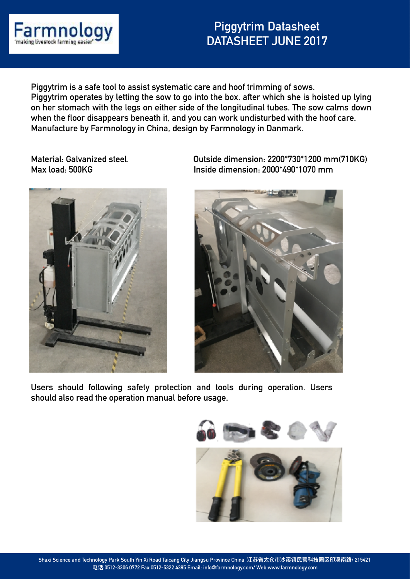

## **Piggytrim Datasheet DATASHEET JUNE 2017**

**Piggytrim is a safe tool to assist systematic care and hoof trimming of sows. Piggytrim operates by letting the sow to go into the box, after which she is hoisted up lying on her stomach with the legs on either side of the longitudinal tubes. The sow calms down when the floor disappears beneath it, and you can work undisturbed with the hoof care. Manufacture by Farmnology in China, design by Farmnology in Danmark.**



**Material: Galvanized steel. Outside dimension: 2200\*730\*1200 mm(710KG) Max load: 500KG Inside dimension: 2000\*490\*1070 mm** 



**Users should following safety protection and tools during operation. Users should also read the operation manual before usage.**